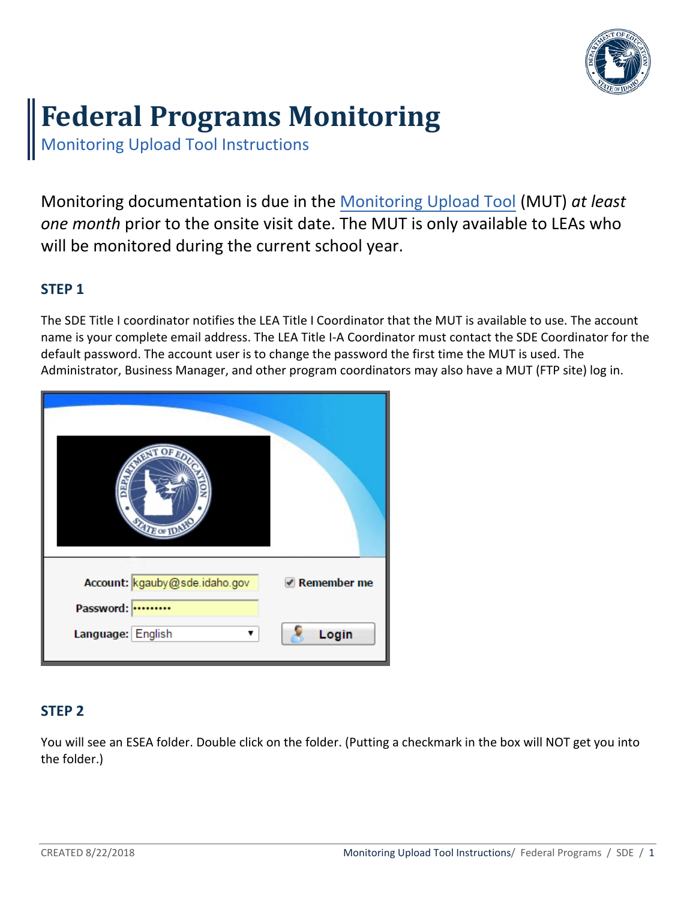

# **Federal Programs Monitoring**

Monitoring Upload Tool Instructions

Monitoring documentation is due in the [Monitoring Upload](https://sftp.sde.idaho.gov/login.html) Tool (MUT) *at least one month* prior to the onsite visit date. The MUT is only available to LEAs who will be monitored during the current school year.

# **STEP 1**

The SDE Title I coordinator notifies the LEA Title I Coordinator that the MUT is available to use. The account name is your complete email address. The LEA Title I-A Coordinator must contact the SDE Coordinator for the default password. The account user is to change the password the first time the MUT is used. The Administrator, Business Manager, and other program coordinators may also have a MUT (FTP site) log in.

| <b>ANIMATION</b><br><b>PART</b><br><b>ATE OF IDAY</b> |             |
|-------------------------------------------------------|-------------|
| Account: kgauby@sde.idaho.gov                         | Remember me |
| Password:                                             |             |
| Language: English                                     | Login       |

# **STEP 2**

You will see an ESEA folder. Double click on the folder. (Putting a checkmark in the box will NOT get you into the folder.)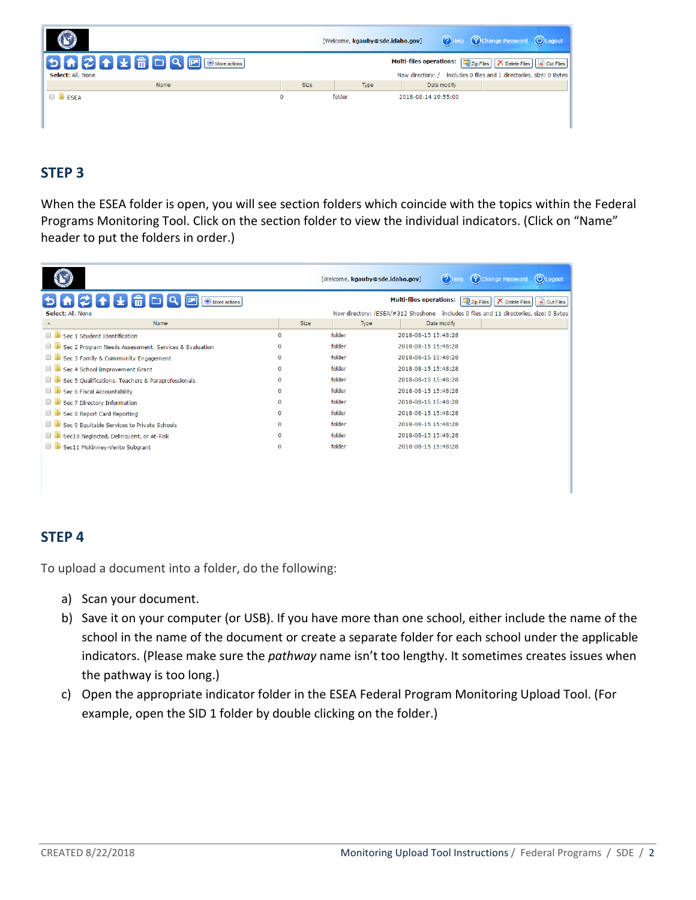|                   |             | [Welcome, kgauby@sde.idaho.gov] |                                                    | $(2)$ Help | Change Password CLogout                                                                       |  |
|-------------------|-------------|---------------------------------|----------------------------------------------------|------------|-----------------------------------------------------------------------------------------------|--|
| Select: All, None |             |                                 | <b>Multi-files operations:</b><br>Now directory: / |            | Zip Files   X Delete Files   & Cut Files<br>includes 0 files and 1 directories, size: 0 Bytes |  |
| Name              | <b>Size</b> | Type                            | Date modify                                        |            |                                                                                               |  |
| <b>ESEA</b>       | $\bf{0}$    | folder                          | 2018-08-14 19:55:00                                |            |                                                                                               |  |

# **STEP 3**

When the ESEA folder is open, you will see section folders which coincide with the topics within the Federal Programs Monitoring Tool. Click on the section folder to view the individual indicators. (Click on "Name" header to put the folders in order.)

|                                                              |             | [Welcome, kgauby@sde.idaho.gov] | $(2)$ Help                     | <b>(予)Change Password</b>                                                             | (U) Logout               |
|--------------------------------------------------------------|-------------|---------------------------------|--------------------------------|---------------------------------------------------------------------------------------|--------------------------|
| <b>AZ↑↓</b> ∂□Q<br>ألمنا ا<br>ЬI<br>$\bigoplus$ More actions |             |                                 | <b>Multi-files operations:</b> | $\n  zip Files\n$<br>Delete Files                                                     | o <sub>o</sub> Cut Files |
| Select: All, None                                            |             |                                 |                                | Now directory: /ESEA/#312 Shoshone includes 0 files and 11 directories, size: 0 Bytes |                          |
| Name                                                         | Size        | Type                            | Date modify                    |                                                                                       |                          |
| Sec. 1. Student Identification                               | 0           | folder                          | 2018-08-15 15:48:28            |                                                                                       |                          |
| Sec 2 Program Needs Assessment, Services & Evaluation        | $\bf{0}$    | folder                          | 2018-08-15 15:48:28            |                                                                                       |                          |
| Sec 3 Family & Community Engagement                          | $\Omega$    | folder                          | 2018-08-15 15:48:28            |                                                                                       |                          |
| Sec 4 School Improvement Grant                               | $\Omega$    | folder                          | 2018-08-15 15:48:28            |                                                                                       |                          |
| Sec 5 Qualifications- Teachers & Paraprofessionals           | $\Omega$    | folder                          | 2018-08-15 15:48:28            |                                                                                       |                          |
| Sec 6 Fiscal Accountability                                  | $\Omega$    | folder                          | 2018-08-15 15:48:28            |                                                                                       |                          |
| Sec 7 Directory Information                                  | $\mathbf 0$ | folder                          | 2018-08-15 15:48:28            |                                                                                       |                          |
| Sec 8 Report Card Reporting                                  | $\Omega$    | folder                          | 2018-08-15 15:48:28            |                                                                                       |                          |
| Sec 9 Equitable Services to Private Schools                  | $\bf{0}$    | folder                          | 2018-08-15 15:48:28            |                                                                                       |                          |
| Sec10 Neglected, Delinquent, or At-Risk                      | $\Omega$    | folder                          | 2018-08-15 15:48:28            |                                                                                       |                          |
| Sec11 McKinney-Vento Subgrant                                | $\bf{0}$    | folder                          | 2018-08-15 15:48:28            |                                                                                       |                          |
|                                                              |             |                                 |                                |                                                                                       |                          |
|                                                              |             |                                 |                                |                                                                                       |                          |

# **STEP 4**

To upload a document into a folder, do the following:

- a) Scan your document.
- b) Save it on your computer (or USB). If you have more than one school, either include the name of the school in the name of the document or create a separate folder for each school under the applicable indicators. (Please make sure the *pathway* name isn't too lengthy. It sometimes creates issues when the pathway is too long.)
- c) Open the appropriate indicator folder in the ESEA Federal Program Monitoring Upload Tool. (For example, open the SID 1 folder by double clicking on the folder.)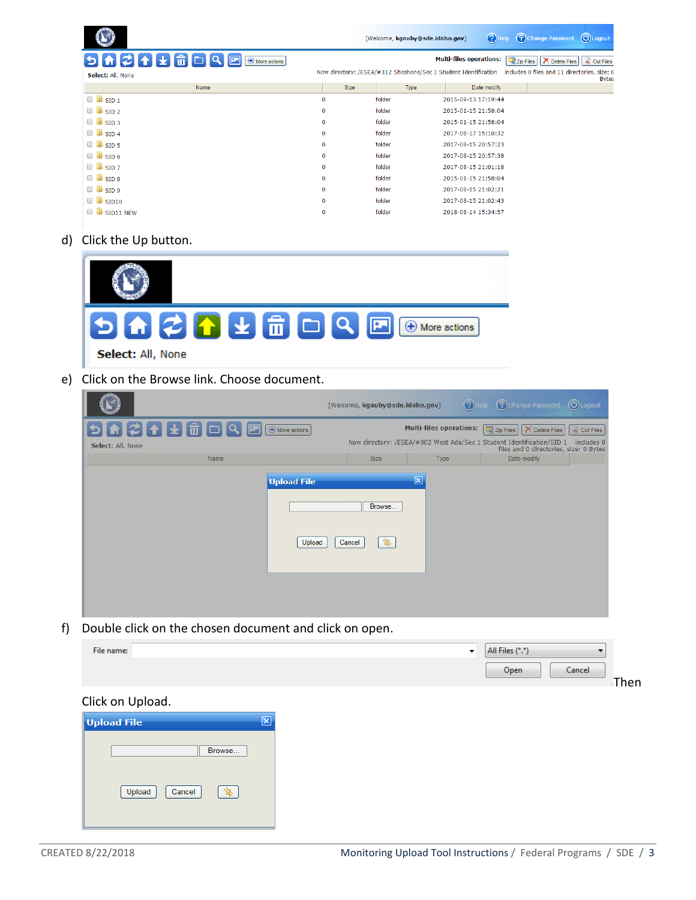|                                               |             | [Welcome, kgauby@sde.idaho.gov] | $(2)$ Help                     | (U) Logout<br>Change Password                                                                                                |
|-----------------------------------------------|-------------|---------------------------------|--------------------------------|------------------------------------------------------------------------------------------------------------------------------|
| $9$<br>$\sqrt{2}$<br>$\bigoplus$ More actions |             |                                 | <b>Multi-files operations:</b> | of Cut Files<br>Zip Files<br><b>X</b> Delete Files                                                                           |
| Select: All, None                             |             |                                 |                                | Now directory: /ESEA/#312 Shoshone/Sec 1 Student Identification includes 0 files and 11 directories, size: 0<br><b>Bytes</b> |
| Name                                          | Size        | Type                            | Date modify                    |                                                                                                                              |
| $\blacksquare$ SID 1                          | 0           | folder                          | 2015-09-13 17:19:44            |                                                                                                                              |
| $\Box$ SID 2                                  | $\mathbf 0$ | folder                          | 2015-01-15 21:58:04            |                                                                                                                              |
| $\Box$ SID 3                                  | $\mathbf 0$ | folder                          | 2015-01-15 21:58:04            |                                                                                                                              |
| $\Box$ SID 4                                  | $\mathbf 0$ | folder                          | 2017-08-17 15:10:32            |                                                                                                                              |
| $\Box$ SID 5                                  | $\mathbf 0$ | folder                          | 2017-08-15 20:57:23            |                                                                                                                              |
| $\Box$ SID 6                                  | $\mathbf 0$ | folder                          | 2017-08-15 20:57:38            |                                                                                                                              |
| $\blacksquare$ SID 7                          | $\mathbf 0$ | folder                          | 2017-08-15 21:01:18            |                                                                                                                              |
| $\Box$ SID 8                                  | 0           | folder                          | 2015-01-15 21:58:04            |                                                                                                                              |
| $\Box$ SID 9                                  | 0           | folder                          | 2017-08-15 21:02:21            |                                                                                                                              |
| $\Box$ SID10                                  | $\mathbf 0$ | folder                          | 2017-08-15 21:02:43            |                                                                                                                              |
| SID11 NEW                                     | 0           | folder                          | 2018-08-14 15:34:57            |                                                                                                                              |

d) Click the Up button.

| Select: All, None |  |  |  |  |  |
|-------------------|--|--|--|--|--|

e) Click on the Browse link. Choose document.

|                                       |                              | [Welcome, kgauby@sde.idaho.gov] |                                | CHelp Change Password OLogout                                                                                                                 |                            |
|---------------------------------------|------------------------------|---------------------------------|--------------------------------|-----------------------------------------------------------------------------------------------------------------------------------------------|----------------------------|
| <b>SAZALABA@</b><br>Select: All, None | $\Theta$ More actions        |                                 | <b>Multi-files operations:</b> | Zip Files   X Delete Files<br>Now directory: /ESEA/#002 West Ada/Sec 1 Student Identification/SID 1<br>files and 0 directories, size: 0 Bytes | of Cut Files<br>includes 0 |
| Name                                  |                              | Size                            | Type                           | Date modify                                                                                                                                   |                            |
|                                       | <b>Upload File</b><br>Upload | Browse<br>最<br>Cancel           |                                |                                                                                                                                               |                            |

f) Double click on the chosen document and click on open.

| File name:         | $\overline{\phantom{a}}$ | All Files (*.*) |       |
|--------------------|--------------------------|-----------------|-------|
|                    |                          | Cancel<br>Open  | -Then |
| Click on Upload.   |                          |                 |       |
| <b>Upload File</b> | ⊠                        |                 |       |

| оргови г пе      |        |
|------------------|--------|
|                  | Browse |
| Upload<br>Cancel |        |